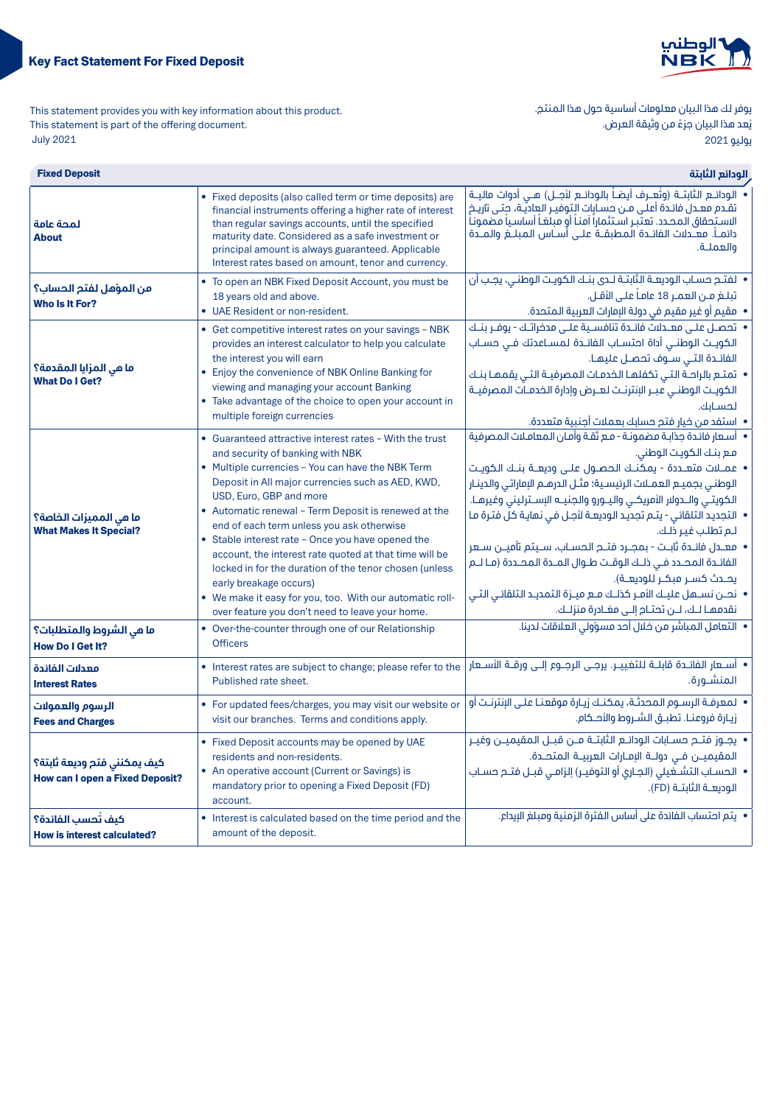

يوفر لك هذا البيان معلومات أساسية حول هذا المنتج. ي ـ ـ ـ<br>يُعد هذا البيان جزءً من وثيقة العرض. يوليو 2021

This statement provides you with key information about this product. This statement is part of the offering document. 2021 July

| <b>Fixed Deposit</b>                                                  | الودائع الثابتة                                                                                                                                                                                                                                                                                                                                                                                                                                                                                                                                                                                                                                         |                                                                                                                                                                                                                                                                                                                                                                                                                                                                                                                                                                                                                                                                                                                              |  |
|-----------------------------------------------------------------------|---------------------------------------------------------------------------------------------------------------------------------------------------------------------------------------------------------------------------------------------------------------------------------------------------------------------------------------------------------------------------------------------------------------------------------------------------------------------------------------------------------------------------------------------------------------------------------------------------------------------------------------------------------|------------------------------------------------------------------------------------------------------------------------------------------------------------------------------------------------------------------------------------------------------------------------------------------------------------------------------------------------------------------------------------------------------------------------------------------------------------------------------------------------------------------------------------------------------------------------------------------------------------------------------------------------------------------------------------------------------------------------------|--|
| لمحة عامة<br><b>About</b>                                             | • Fixed deposits (also called term or time deposits) are<br>financial instruments offering a higher rate of interest<br>than regular savings accounts, until the specified<br>maturity date. Considered as a safe investment or<br>principal amount is always guaranteed. Applicable<br>Interest rates based on amount, tenor and currency.                                                                                                                                                                                                                                                                                                             | • الودائـــم الثابتـــة (وتُعـــرف أيـضــاً بالـودائـــم لأجـــل) هـــى أدوات ماليـــة<br>تقدم معدل فائدة أعلى مـن حسـابات التوفيـر العاديّة، حتـى تاريَـح<br>الاستحقاق المحدد. تعتبر استثماراً آمناً أو مبلغاً أساسياً مضموناً<br>دائمــاً. معــدلات الفائــدة المطبقــة علــى أســاس المبلـــغ والمــدة<br>والعملــة.                                                                                                                                                                                                                                                                                                                                                                                                      |  |
| من المؤهل لفتم الحساب؟<br>Who Is It For?                              | • To open an NBK Fixed Deposit Account, you must be<br>18 years old and above.<br>• UAE Resident or non-resident.                                                                                                                                                                                                                                                                                                                                                                                                                                                                                                                                       | • لفتـم حسـاب الـوديعــة الثابتــة لــدى بنــك الـكويـت الـوطنــى، يجـب أن<br>تبلغ مـن العمـر 18 عامـاً علـى الأقـل.<br>• مقيم أو غير مقيم في دولة الإمارات العربية المتحدة.                                                                                                                                                                                                                                                                                                                                                                                                                                                                                                                                                 |  |
| ما في المزايا المقدمة؟<br><b>What Do I Get?</b>                       | • Get competitive interest rates on your savings - NBK<br>provides an interest calculator to help you calculate<br>the interest you will earn<br>• Enjoy the convenience of NBK Online Banking for<br>viewing and managing your account Banking<br>• Take advantage of the choice to open your account in<br>multiple foreign currencies                                                                                                                                                                                                                                                                                                                | • اتفضــل علــي معــدلات فائــدة تنافســية علــي مدفراتـك - يوفــر بنــك<br>الكويـت الوطنـى أداة احتسـاب الفائـدة لمسـاعدتك فـى حسـاب<br>الفائدة التي سـوف تحصـل عليهـا.<br>• تمتـع بالراحــة التـى تكفلهـا الـخدمـات المصرفيــة التـى يقمهـا بنــك<br>الكويت الوطنى عبـر الإنترنـت لعـرض وإدارة الخدمـات المصرفيـة<br>لحسابك.<br>• استفد من خيار فتح حسابك بعملات أجنبية متعددة.                                                                                                                                                                                                                                                                                                                                            |  |
| ما هي المميزات الخاصة؟<br><b>What Makes It Special?</b>               | • Guaranteed attractive interest rates - With the trust<br>and security of banking with NBK<br>• Multiple currencies - You can have the NBK Term<br>Deposit in All major currencies such as AED, KWD,<br>USD, Euro, GBP and more<br>• Automatic renewal - Term Deposit is renewed at the<br>end of each term unless you ask otherwise<br>• Stable interest rate - Once you have opened the<br>account, the interest rate quoted at that time will be<br>locked in for the duration of the tenor chosen (unless<br>early breakage occurs)<br>. We make it easy for you, too. With our automatic roll-<br>over feature you don't need to leave your home. | •   أسعار فائدة جذابـة مضمونـة - مـع ثقـة وأمـان المعامـلات المصرفية<br>فع بنك الكويت الوطني.<br>• عملات متعندة - يمكننك الحصنول علـى وديعنة بننك الكوينت<br>الوطني بجميع العملات الرئيسية؛ مثـل الدرهـم الإماراتي والدينـار<br>الكويتـي والــدولار الأمريكـي واليــورو والجنيــه الإســترلينى وغيرهــا.<br>• التجديد التلقائي - يتـم تجديد الوديعـة لأجـل فـي نـمايـة كل فتـرة مـا<br>للم تطلب غير ذلك.<br>•  معــدل فائــدة ثابــت - بمجــرد فتــم الـمســاب، ســيتم تأميــن ســعر<br>الفائدة المحـدد فـى ذلـك الوقـت طـوال المـدة المحـددة (مـا لـم<br>يحـدث كسـر مبكـر للوديعـة).<br>• نحــن نســـهل عليــك الأمـر كذلــك مــع ميــزة الـتمديــد الـتلقائــى الـتــى<br>نقدمها لـك، لـــن تحتـام إلــى مغــادرة منزلــك. |  |
| ما هي الشروط والمتطلبات؟<br><b>How Do I Get It?</b>                   | • Over-the-counter through one of our Relationship<br><b>Officers</b>                                                                                                                                                                                                                                                                                                                                                                                                                                                                                                                                                                                   | • التعامل المباشر من خلال أحد مسؤولي العلاقات لدينا.                                                                                                                                                                                                                                                                                                                                                                                                                                                                                                                                                                                                                                                                         |  |
| معدلات الفائدة<br><b>Interest Rates</b>                               | • Interest rates are subject to change; please refer to the<br>Published rate sheet.                                                                                                                                                                                                                                                                                                                                                                                                                                                                                                                                                                    | المنشـورة.                                                                                                                                                                                                                                                                                                                                                                                                                                                                                                                                                                                                                                                                                                                   |  |
| الرسوم والعمولات<br><b>Fees and Charges</b>                           | • For updated fees/charges, you may visit our website or<br>visit our branches. Terms and conditions apply.                                                                                                                                                                                                                                                                                                                                                                                                                                                                                                                                             | • المعرفـة الرســوم المحدثـة، يمكنـك زيـارة موقعنـا علــى الإنترنـت أو<br>زيارة فروعنـا. تطبـق الشـروط والأحـكام.                                                                                                                                                                                                                                                                                                                                                                                                                                                                                                                                                                                                            |  |
| كيف يمكنني فتح وديعة ثابتة؟<br><b>How can I open a Fixed Deposit?</b> | • Fixed Deposit accounts may be opened by UAE<br>residents and non-residents.<br>• An operative account (Current or Savings) is<br>mandatory prior to opening a Fixed Deposit (FD)<br>account.                                                                                                                                                                                                                                                                                                                                                                                                                                                          | • يجــوز فتــح حســابات الـودائــع الثابتــة مـــن قبـــل الـمقيميـــن وغيــر<br>المقيميـــن فــى دولـــة الإمــارات العربيــة المتحـــدة.<br>•  الحسـاب التشــغيلى (الجــاري أو التوفيــر) إلزامــى قبــل فتــم حسـاب<br>الوديعـة الثابتـة (FD).                                                                                                                                                                                                                                                                                                                                                                                                                                                                            |  |
| كيف تُحسب الفائدة؟<br><b>How is interest calculated?</b>              | • Interest is calculated based on the time period and the<br>amount of the deposit.                                                                                                                                                                                                                                                                                                                                                                                                                                                                                                                                                                     | •  يتم احتساب الفائدة على أساس الفترة الزمنية ومبلغ البيداع.                                                                                                                                                                                                                                                                                                                                                                                                                                                                                                                                                                                                                                                                 |  |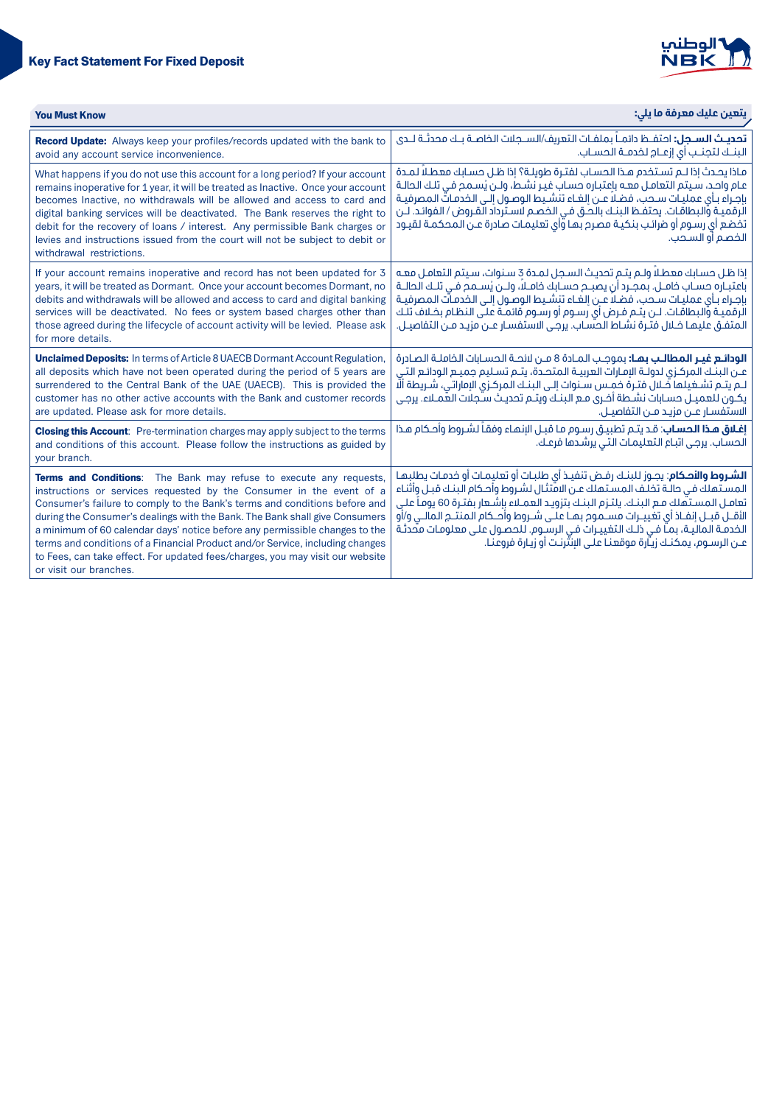# **Key Fact Statement For Fixed Deposit**



| <b>You Must Know</b>                                                                                                                                                                                                                                                                                                                                                                                                                                                                                                                                                               | يتعين عليك معرفة ما يلي:                                                                                                                                                                                                                                                                                                                                                                                                                                                                                                                                   |  |
|------------------------------------------------------------------------------------------------------------------------------------------------------------------------------------------------------------------------------------------------------------------------------------------------------------------------------------------------------------------------------------------------------------------------------------------------------------------------------------------------------------------------------------------------------------------------------------|------------------------------------------------------------------------------------------------------------------------------------------------------------------------------------------------------------------------------------------------------------------------------------------------------------------------------------------------------------------------------------------------------------------------------------------------------------------------------------------------------------------------------------------------------------|--|
| Record Update: Always keep your profiles/records updated with the bank to<br>avoid any account service inconvenience.                                                                                                                                                                                                                                                                                                                                                                                                                                                              | <b>تحديث الســجل:</b> احتفــظ دائمـــاً بملفــات التعريف/الســجلات الــفاصــة بــك محدثــة لـــدى<br>البنــك لتجنــب أى إزعــام لــفدمــة الــمـســاب.                                                                                                                                                                                                                                                                                                                                                                                                     |  |
| What happens if you do not use this account for a long period? If your account<br>remains inoperative for 1 year, it will be treated as Inactive. Once your account<br>becomes Inactive, no withdrawals will be allowed and access to card and<br>digital banking services will be deactivated. The Bank reserves the right to<br>debit for the recovery of loans / interest. Any permissible Bank charges or<br>levies and instructions issued from the court will not be subject to debit or<br>withdrawal restrictions.                                                         | ماذا يحدث إذا لـم تسـتخدم هـذا الحسـاب لفتـرة طويلـة؟ إذا ظـل حسـابك معطـلاً لمـدة<br>عام واحد، سيتم التعامل معـه بإعتبـاره حساب غيـر نشـط، ولـن يُسـمح فـى تلـك الـحالـة<br>بإجراء بـأى عمليـات سـحب، فضـلاً عـن إلغـاء تنشـيط الوصـول إلـى الـخدمـاتّ الـمـصرفيــة<br>الرقميـة والبطاقـات. يحتفـظ البنـك بالحـق فـى الخصـم لاسـترداد القـروض / الفوائـد. لــن<br>تخضع أي رسوم أو ضرائب بنكيـة مصرم بهـا وّأي تعليمـات صادرة عـن المحكمـة لقيـود<br>الخصم آو السحب.                                                                                       |  |
| If your account remains inoperative and record has not been updated for 3<br>years, it will be treated as Dormant. Once your account becomes Dormant, no<br>debits and withdrawals will be allowed and access to card and digital banking<br>services will be deactivated. No fees or system based charges other than<br>those agreed during the lifecycle of account activity will be levied. Please ask<br>for more details.                                                                                                                                                     | إذا ظل حسابك معطلاً ولـم يتـم تحديث السـجل لمـدة 3 سـنوات، سـيتم التعامـل معـه<br>باعتبـاره حسـاب خامــل. بمجـرد أن يصبــم حســابك خامــلاً، ولـــن يُســمم فــى تلــك الـحالــة<br>بإجراء بـأى عمليـات سـحب، فضـلاً عـن إلغـاء تنشـيط الوصـول إلـى الخدمـأت المصرفيـة<br>الرقميــة والبـطاقـات. لــن يتــم فــرض أى رســوم أو رســوم قائمــة عـلـى الـنظـام بخــلاف تلــك<br>المتفـق عليهـا خـلال فتـرة نشـاط الحسّاب. يرجـى الاستفسـار عـن مزيـد مـن التفاصيـل.                                                                                          |  |
| <b>Unclaimed Deposits:</b> In terms of Article 8 UAECB Dormant Account Regulation,<br>all deposits which have not been operated during the period of 5 years are<br>surrendered to the Central Bank of the UAE (UAECB). This is provided the<br>customer has no other active accounts with the Bank and customer records<br>are updated. Please ask for more details.                                                                                                                                                                                                              | <b>الودائـع غيـر المطالـب بمـا:</b> بموجـب المـادة 8 مـن لائحـة الحسـابات الخاملـة الصـادرة<br>عـن البنــك المركــزى لدولــة الإمـارات العربيــة المتحــدة، يتــم تســليم جميــع الـودائـع التــى<br>لـم يتـم تشـغيلها فَـلالِ فتـرة حمـس سـنوات إلـى البنــك المركـزي الإماراتي، شـريطة ألَّا<br>يكـون للعميـل حسـابات نشـطة أخـرى مـع البنـك ويتـم تحديـث سـجلات العمـلاء. يرجـى<br>الاستفسار عـن مزيـد مـن التفاصيـل.                                                                                                                                   |  |
| <b>Closing this Account:</b> Pre-termination charges may apply subject to the terms<br>and conditions of this account. Please follow the instructions as guided by<br>vour branch.                                                                                                                                                                                                                                                                                                                                                                                                 | <b>إغلاق هذا الحساب</b> : قد يتـم تطبيـق رسـوم مـا قبـل الإنهـاء وفقـأ لشـروط وأحـكام هـذا<br>الحساب. يرجى اتباع التعليمات التي يرشدها فرعك.                                                                                                                                                                                                                                                                                                                                                                                                               |  |
| Terms and Conditions: The Bank may refuse to execute any requests,<br>instructions or services requested by the Consumer in the event of a<br>Consumer's failure to comply to the Bank's terms and conditions before and<br>during the Consumer's dealings with the Bank. The Bank shall give Consumers<br>a minimum of 60 calendar days' notice before any permissible changes to the<br>terms and conditions of a Financial Product and/or Service, including changes<br>to Fees, can take effect. For updated fees/charges, you may visit our website<br>or visit our branches. | ا <b>لشـروط والأصكام</b> : يجـوز للبنـك رفـض تنفيـذ أى طلبـات أو تعليمـات أو خدمـات يطلبـهـا<br>المستهلك في حالـة تخلـف المسـتـملك عـن الامّتثـال لشـروط وأحـكام البنـك قبـل وأثنـاء<br>تعامـل المسـتَهلك مـع البنـك. يلتـزم البنـك بتزويـد العمـلاء بإشـعار بفتـرة 60 يومـاً علـي<br>الأقــل قبــل إنفـاذ أي تغييــرات مســموم بهـا علــى شــروط وأصـكام المنتــم المالــي و/أو<br>الخدمـة الماليَّـة، بمـّا فـي ذلـك التغييـرات فـي الرسَّـوم. للحصـول علـي معلومـات متَّحدثـة<br>عـن الرسـوم، يمكنـك زيـّارة موقعنـا علـى الإنتّرنـت أو زيـارة فروعنـا. |  |